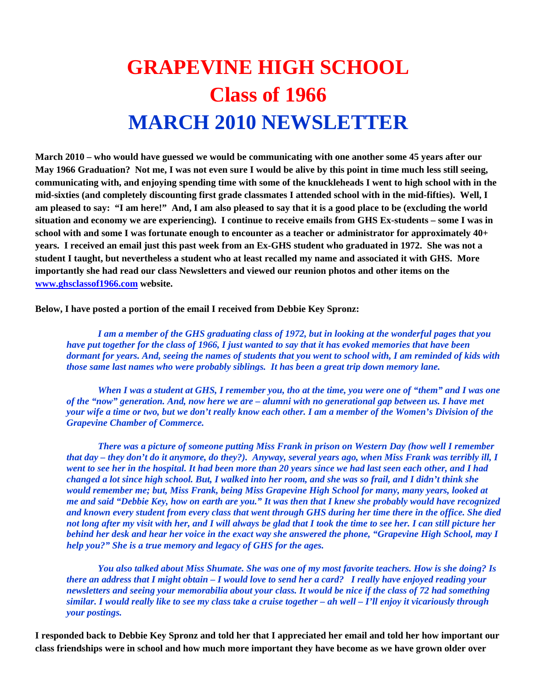## **GRAPEVINE HIGH SCHOOL Class of 1966 MARCH 2010 NEWSLETTER**

**March 2010 – who would have guessed we would be communicating with one another some 45 years after our May 1966 Graduation? Not me, I was not even sure I would be alive by this point in time much less still seeing, communicating with, and enjoying spending time with some of the knuckleheads I went to high school with in the mid-sixties (and completely discounting first grade classmates I attended school with in the mid-fifties). Well, I am pleased to say: "I am here!" And, I am also pleased to say that it is a good place to be (excluding the world situation and economy we are experiencing). I continue to receive emails from GHS Ex-students – some I was in school with and some I was fortunate enough to encounter as a teacher or administrator for approximately 40+ years. I received an email just this past week from an Ex-GHS student who graduated in 1972. She was not a student I taught, but nevertheless a student who at least recalled my name and associated it with GHS. More importantly she had read our class Newsletters and viewed our reunion photos and other items on the www.ghsclassof1966.com website.** 

**Below, I have posted a portion of the email I received from Debbie Key Spronz:** 

*I am a member of the GHS graduating class of 1972, but in looking at the wonderful pages that you have put together for the class of 1966, I just wanted to say that it has evoked memories that have been dormant for years. And, seeing the names of students that you went to school with, I am reminded of kids with those same last names who were probably siblings. It has been a great trip down memory lane.* 

*When I was a student at GHS, I remember you, tho at the time, you were one of "them" and I was one of the "now" generation. And, now here we are – alumni with no generational gap between us. I have met your wife a time or two, but we don't really know each other. I am a member of the Women's Division of the Grapevine Chamber of Commerce.* 

*There was a picture of someone putting Miss Frank in prison on Western Day (how well I remember that day – they don't do it anymore, do they?). Anyway, several years ago, when Miss Frank was terribly ill, I went to see her in the hospital. It had been more than 20 years since we had last seen each other, and I had changed a lot since high school. But, I walked into her room, and she was so frail, and I didn't think she would remember me; but, Miss Frank, being Miss Grapevine High School for many, many years, looked at me and said "Debbie Key, how on earth are you." It was then that I knew she probably would have recognized and known every student from every class that went through GHS during her time there in the office. She died not long after my visit with her, and I will always be glad that I took the time to see her. I can still picture her behind her desk and hear her voice in the exact way she answered the phone, "Grapevine High School, may I help you?" She is a true memory and legacy of GHS for the ages.* 

*You also talked about Miss Shumate. She was one of my most favorite teachers. How is she doing? Is there an address that I might obtain – I would love to send her a card? I really have enjoyed reading your newsletters and seeing your memorabilia about your class. It would be nice if the class of 72 had something similar. I would really like to see my class take a cruise together – ah well – I'll enjoy it vicariously through your postings.* 

**I responded back to Debbie Key Spronz and told her that I appreciated her email and told her how important our class friendships were in school and how much more important they have become as we have grown older over**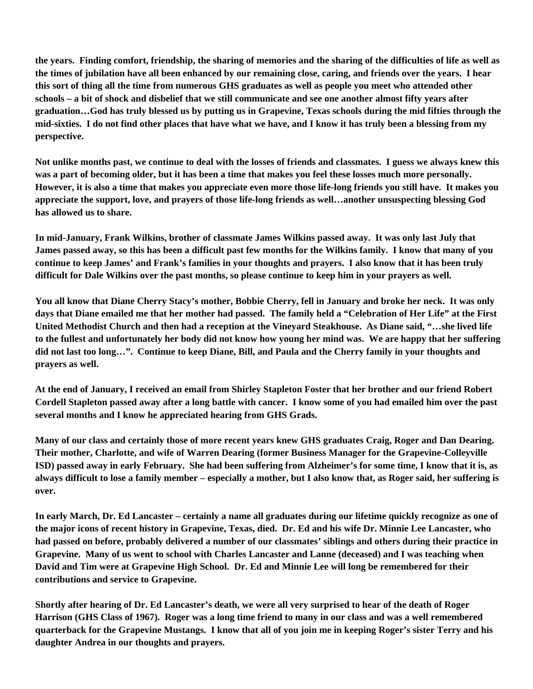**the years. Finding comfort, friendship, the sharing of memories and the sharing of the difficulties of life as well as the times of jubilation have all been enhanced by our remaining close, caring, and friends over the years. I hear this sort of thing all the time from numerous GHS graduates as well as people you meet who attended other schools – a bit of shock and disbelief that we still communicate and see one another almost fifty years after graduation…God has truly blessed us by putting us in Grapevine, Texas schools during the mid fifties through the mid-sixties. I do not find other places that have what we have, and I know it has truly been a blessing from my perspective.** 

**Not unlike months past, we continue to deal with the losses of friends and classmates. I guess we always knew this was a part of becoming older, but it has been a time that makes you feel these losses much more personally. However, it is also a time that makes you appreciate even more those life-long friends you still have. It makes you appreciate the support, love, and prayers of those life-long friends as well…another unsuspecting blessing God has allowed us to share.** 

**In mid-January, Frank Wilkins, brother of classmate James Wilkins passed away. It was only last July that James passed away, so this has been a difficult past few months for the Wilkins family. I know that many of you continue to keep James' and Frank's families in your thoughts and prayers. I also know that it has been truly difficult for Dale Wilkins over the past months, so please continue to keep him in your prayers as well.** 

**You all know that Diane Cherry Stacy's mother, Bobbie Cherry, fell in January and broke her neck. It was only days that Diane emailed me that her mother had passed. The family held a "Celebration of Her Life" at the First United Methodist Church and then had a reception at the Vineyard Steakhouse. As Diane said, "…she lived life to the fullest and unfortunately her body did not know how young her mind was. We are happy that her suffering did not last too long…". Continue to keep Diane, Bill, and Paula and the Cherry family in your thoughts and prayers as well.** 

**At the end of January, I received an email from Shirley Stapleton Foster that her brother and our friend Robert Cordell Stapleton passed away after a long battle with cancer. I know some of you had emailed him over the past several months and I know he appreciated hearing from GHS Grads.** 

**Many of our class and certainly those of more recent years knew GHS graduates Craig, Roger and Dan Dearing. Their mother, Charlotte, and wife of Warren Dearing (former Business Manager for the Grapevine-Colleyville ISD) passed away in early February. She had been suffering from Alzheimer's for some time, I know that it is, as always difficult to lose a family member – especially a mother, but I also know that, as Roger said, her suffering is over.** 

**In early March, Dr. Ed Lancaster – certainly a name all graduates during our lifetime quickly recognize as one of the major icons of recent history in Grapevine, Texas, died. Dr. Ed and his wife Dr. Minnie Lee Lancaster, who had passed on before, probably delivered a number of our classmates' siblings and others during their practice in Grapevine. Many of us went to school with Charles Lancaster and Lanne (deceased) and I was teaching when David and Tim were at Grapevine High School. Dr. Ed and Minnie Lee will long be remembered for their contributions and service to Grapevine.** 

**Shortly after hearing of Dr. Ed Lancaster's death, we were all very surprised to hear of the death of Roger Harrison (GHS Class of 1967). Roger was a long time friend to many in our class and was a well remembered quarterback for the Grapevine Mustangs. I know that all of you join me in keeping Roger's sister Terry and his daughter Andrea in our thoughts and prayers.**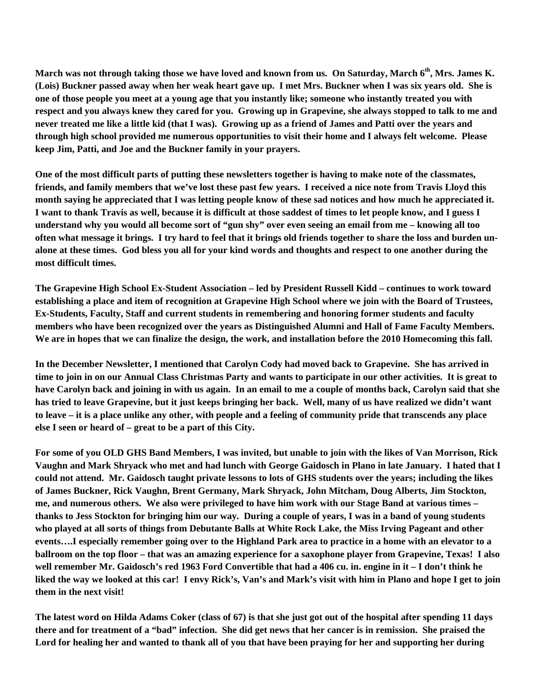**March was not through taking those we have loved and known from us. On Saturday, March 6th, Mrs. James K. (Lois) Buckner passed away when her weak heart gave up. I met Mrs. Buckner when I was six years old. She is one of those people you meet at a young age that you instantly like; someone who instantly treated you with respect and you always knew they cared for you. Growing up in Grapevine, she always stopped to talk to me and never treated me like a little kid (that I was). Growing up as a friend of James and Patti over the years and through high school provided me numerous opportunities to visit their home and I always felt welcome. Please keep Jim, Patti, and Joe and the Buckner family in your prayers.** 

**One of the most difficult parts of putting these newsletters together is having to make note of the classmates, friends, and family members that we've lost these past few years. I received a nice note from Travis Lloyd this month saying he appreciated that I was letting people know of these sad notices and how much he appreciated it. I want to thank Travis as well, because it is difficult at those saddest of times to let people know, and I guess I understand why you would all become sort of "gun shy" over even seeing an email from me – knowing all too often what message it brings. I try hard to feel that it brings old friends together to share the loss and burden unalone at these times. God bless you all for your kind words and thoughts and respect to one another during the most difficult times.** 

**The Grapevine High School Ex-Student Association – led by President Russell Kidd – continues to work toward establishing a place and item of recognition at Grapevine High School where we join with the Board of Trustees, Ex-Students, Faculty, Staff and current students in remembering and honoring former students and faculty members who have been recognized over the years as Distinguished Alumni and Hall of Fame Faculty Members. We are in hopes that we can finalize the design, the work, and installation before the 2010 Homecoming this fall.** 

**In the December Newsletter, I mentioned that Carolyn Cody had moved back to Grapevine. She has arrived in time to join in on our Annual Class Christmas Party and wants to participate in our other activities. It is great to have Carolyn back and joining in with us again. In an email to me a couple of months back, Carolyn said that she has tried to leave Grapevine, but it just keeps bringing her back. Well, many of us have realized we didn't want to leave – it is a place unlike any other, with people and a feeling of community pride that transcends any place else I seen or heard of – great to be a part of this City.** 

**For some of you OLD GHS Band Members, I was invited, but unable to join with the likes of Van Morrison, Rick Vaughn and Mark Shryack who met and had lunch with George Gaidosch in Plano in late January. I hated that I could not attend. Mr. Gaidosch taught private lessons to lots of GHS students over the years; including the likes of James Buckner, Rick Vaughn, Brent Germany, Mark Shryack, John Mitcham, Doug Alberts, Jim Stockton, me, and numerous others. We also were privileged to have him work with our Stage Band at various times – thanks to Jess Stockton for bringing him our way. During a couple of years, I was in a band of young students who played at all sorts of things from Debutante Balls at White Rock Lake, the Miss Irving Pageant and other events….I especially remember going over to the Highland Park area to practice in a home with an elevator to a ballroom on the top floor – that was an amazing experience for a saxophone player from Grapevine, Texas! I also well remember Mr. Gaidosch's red 1963 Ford Convertible that had a 406 cu. in. engine in it – I don't think he liked the way we looked at this car! I envy Rick's, Van's and Mark's visit with him in Plano and hope I get to join them in the next visit!** 

**The latest word on Hilda Adams Coker (class of 67) is that she just got out of the hospital after spending 11 days there and for treatment of a "bad" infection. She did get news that her cancer is in remission. She praised the Lord for healing her and wanted to thank all of you that have been praying for her and supporting her during**